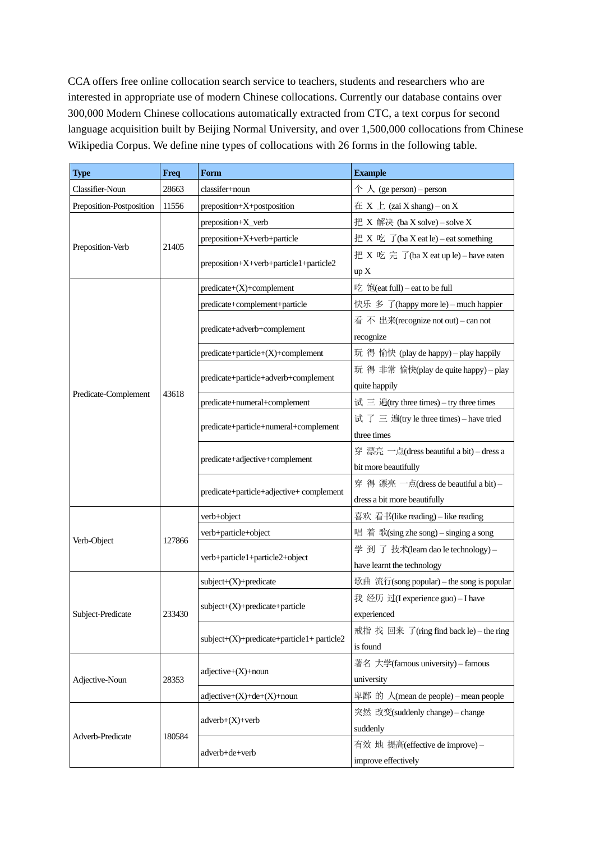CCA offers free online collocation search service to teachers, students and researchers who are interested in appropriate use of modern Chinese collocations. Currently our database contains over 300,000 Modern Chinese collocations automatically extracted from CTC, a text corpus for second language acquisition built by Beijing Normal University, and over 1,500,000 collocations from Chinese Wikipedia Corpus. We define nine types of collocations with 26 forms in the following table.

| <b>Type</b>              | <b>Freq</b> | Form                                      | <b>Example</b>                                |
|--------------------------|-------------|-------------------------------------------|-----------------------------------------------|
| Classifier-Noun          | 28663       | classifer+noun                            | $\uparrow \wedge$ (ge person) – person        |
| Preposition-Postposition | 11556       | preposition+X+postposition                | $\overline{A}$ X $\perp$ (zai X shang) – on X |
|                          | 21405       | preposition+X_verb                        | 把 X 解决 (ba X solve) – solve X                 |
|                          |             | preposition+X+verb+particle               | 把 X 吃 了(ba X eat le) – eat something          |
| Preposition-Verb         |             | preposition+X+verb+particle1+particle2    | 把 X 吃 完 了(ba X eat up le) – have eaten        |
|                          |             |                                           | up X                                          |
|                          |             | $predicate+(X)+complement$                | 吃 饱(eat full) – eat to be full                |
|                          |             | predicate+complement+particle             | 快乐 多 了(happy more le) - much happier          |
|                          |             |                                           | 看 不 出来(recognize not out) – can not           |
|                          |             | predicate+adverb+complement               | recognize                                     |
|                          |             | predicate+particle+(X)+complement         | 玩 得 愉快 (play de happy) – play happily         |
|                          |             | predicate+particle+adverb+complement      | 玩 得 非常 愉快(play de quite happy) - play         |
| Predicate-Complement     | 43618       |                                           | quite happily                                 |
|                          |             | predicate+numeral+complement              | 试 三 遍(try three times) – try three times      |
|                          |             | predicate+particle+numeral+complement     | 试 了 三 遍(try le three times) - have tried      |
|                          |             |                                           | three times                                   |
|                          |             | predicate+adjective+complement            | 穿 漂亮 一点(dress beautiful a bit) - dress a      |
|                          |             |                                           | bit more beautifully                          |
|                          |             |                                           | 穿 得 漂亮 一点(dress de beautiful a bit)-          |
|                          |             | predicate+particle+adjective+complement   | dress a bit more beautifully                  |
|                          | 127866      | verb+object                               | 喜欢 看书(like reading) – like reading            |
| Verb-Object              |             | verb+particle+object                      | 唱着 歌(sing zhe song) – singing a song          |
|                          |             |                                           | 学 到 了 技术(learn dao le technology)-            |
|                          |             | verb+particle1+particle2+object           | have learnt the technology                    |
| Subject-Predicate        | 233430      | $subject+(X)+predict$                     | 歌曲 流行(song popular) – the song is popular     |
|                          |             |                                           | 我 经历 过(I experience guo) - I have             |
|                          |             | subject+(X)+predicate+particle            | experienced                                   |
|                          |             | $subject+(X)+predict+particle1+particle2$ | 戒指 找 回来 了(ring find back le) – the ring       |
|                          |             |                                           | is found                                      |
| Adjective-Noun           | 28353       |                                           | 著名 大学(famous university) - famous             |
|                          |             | $adjective+(X)+noun$                      | university                                    |
|                          |             | $adjective+(X)+de+(X)+noun$               | 卑鄙 的 人(mean de people) – mean people          |
|                          | 180584      |                                           | 突然 改变(suddenly change) - change               |
|                          |             | $adverb+(X)+verb$                         | suddenly                                      |
| Adverb-Predicate         |             |                                           | 有效 地 提高(effective de improve)-                |
|                          |             | adverb+de+verb                            | improve effectively                           |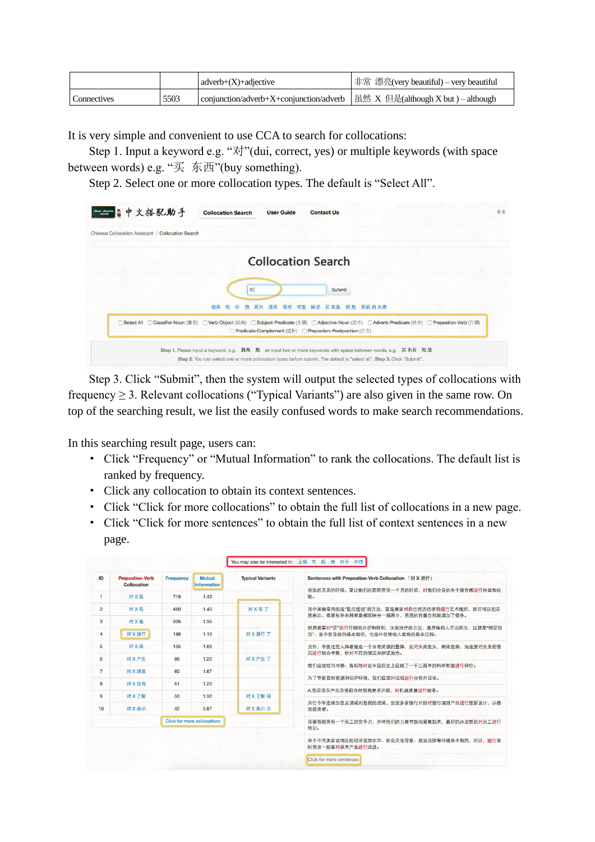|                    |      | $adverb+(X)+adjective$                                                       | 非常 漂亮(very beautiful) – very beautiful |
|--------------------|------|------------------------------------------------------------------------------|----------------------------------------|
| <b>Connectives</b> | 5503 | conjunction/adverb+X+conjunction/adverb   虽然 X 但是(although X but) – although |                                        |

It is very simple and convenient to use CCA to search for collocations:

Step 1. Input a keyword e.g. "对"(dui, correct, yes) or multiple keywords (with space between words) e.g. "买 东西"(buy something).

Step 2. Select one or more collocation types. The default is "Select All".

| Chinese Collocation Assistant / Collocation Search |                                                                                                                                                                                               |
|----------------------------------------------------|-----------------------------------------------------------------------------------------------------------------------------------------------------------------------------------------------|
|                                                    |                                                                                                                                                                                               |
|                                                    | <b>Collocation Search</b>                                                                                                                                                                     |
|                                                    | 对<br>Submit                                                                                                                                                                                   |
| Select All                                         | 提高<br>吃饭<br>美丽 的 女孩<br>漂亮<br>喜欢<br>睡觉<br>买东西<br>把放<br>□ Classifier-Noun (量名) □ Verb-Object (动宾) □ Subject-Predicate (主谓) □ Adjective-Noun (定中) □ Adverb-Predicate (状中) □ Prepostion-Verb (介谓) |
|                                                    | □ Predicate-Complement (述补) □ Prepostion-Postposition (介方)                                                                                                                                    |

Step 3. Click "Submit", then the system will output the selected types of collocations with frequency ≥ 3. Relevant collocations ("Typical Variants") are also given in the same row. On top of the searching result, we list the easily confused words to make search recommendations.

In this searching result page, users can:

- · Click "Frequency" or "Mutual Information" to rank the collocations. The default list is ranked by frequency.
- · Click any collocation to obtain its context sentences.
- · Click "Click for more collocations" to obtain the full list of collocations in a new page.
- · Click "Click for more sentences" to obtain the full list of context sentences in a new page.

| ID             | <b>Prepostion-Verb</b><br>Collocation | <b>Frequency</b>            | <b>Mutual</b><br><b>Information</b> | <b>Typical Variants</b>                                        | Sentences with Prepostion-Verb Collocation 「对 X 进行」                             |
|----------------|---------------------------------------|-----------------------------|-------------------------------------|----------------------------------------------------------------|---------------------------------------------------------------------------------|
| 1              | 对X说                                   | 719                         | 1.40                                |                                                                | 挑选航天员的时候,要让他们在医院里住一个月的时间,对他们全身的各个器官都进行检查和化<br>验。                                |
| $\overline{2}$ | 对X有                                   | 450                         | 1.40                                | 对X有了                                                           | 而中国画常用的是"散点透视"的方法,就是画家对自己经历的事物进行艺术概括,然后可以把东                                     |
| 3              | 对X是                                   | 328                         | 1.35                                |                                                                | 西南北、春夏秋冬各种景象都反映在一幅画中,画面的容量自然就增加了很多。                                             |
| $\overline{4}$ | 对X进行                                  | 188                         | 1.10                                | 对 X 进行 了                                                       | 然后就要对"证"进行仔细地分析和辨别,决定治疗的方法,最后给病人开出药方,这就是"辨证论<br>治", 是中医诊病的基本理论, 也是中医给病人看病的基本过程。 |
| 5              | 对X感                                   | 105                         | 1.80                                |                                                                | 另外,中医还把人体看做是一个互相关联的整体,反对头疼医头,脚疼医脚,而是要对全身的情                                      |
| 6              | 对X产生                                  | 86                          | 1.20                                | 对X产生了                                                          | 况进行综合考察、针对不同的情况来辩证施治。                                                           |
| $\overline{7}$ | 对X減意                                  | 60                          | 1.67                                |                                                                | 我们应该较为冷静、客观地对在中国历史上延续了一千三百年的科举制度进行评价。                                           |
| 8              | 对X没有                                  | 51                          | 1.20                                |                                                                | 为了节省自然资源和保护环境、我们应该对垃圾讲行分类并回收。                                                   |
|                |                                       |                             |                                     |                                                                | A.您应该在产品交接前向经销商要求开箱,对机器质量讲行验收。                                                  |
| 9              | 对X了解                                  | 50                          | 1.32                                | 对X 了解得                                                         | 央行今年连续加息及调减利息税的政策,促使多家银行开始对银行理财产品进行重新设计,以稳                                      |
| 10             | 对X表示                                  | 42                          | 0.87                                | 对X表示出                                                          | 定投资者。                                                                           |
|                |                                       | Click for more collocations |                                     |                                                                | 而要想提高每一个员工的竞争力,并将他们的力量有效地凝聚起来,最好的办法就是对员工进行<br>培训。                               |
|                |                                       |                             |                                     | 由于不同国家或地区的经济发展水平、社会文化背景、政治法律等环境各不相同,所以,进行国<br>际贸易一般要对原有产品讲行改讲。 |                                                                                 |
|                |                                       |                             |                                     |                                                                | Click for more sentences                                                        |